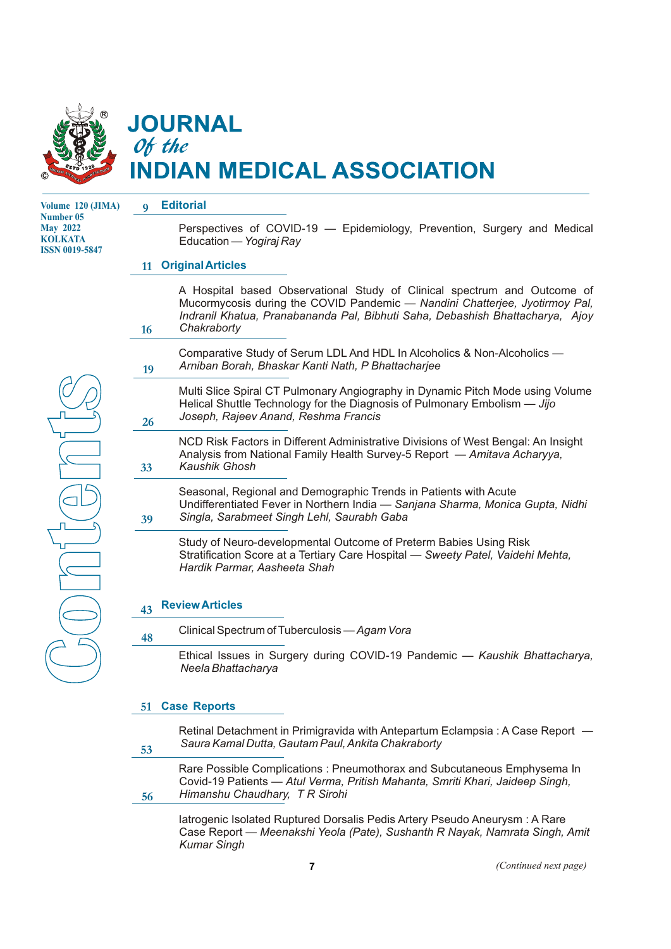

## **JOURNAL** Of the **DIAN MEDICAL ASSOCIATION**

**Volume 120 (JIMA) Number 05 May 2022 KOLKATA ISSN 0019-5847**

#### **9 Editorial**

Perspectives of COVID-19 — Epidemiology, Prevention, Surgery and Medical Education — *Yogiraj Ray* 

## **11 Original Articles**

A Hospital based Observational Study of Clinical spectrum and Outcome of Mucormycosis during the COVID Pandemic — *Nandini Chatterjee, Jyotirmoy Pal, Indranil Khatua, Pranabananda Pal, Bibhuti Saha, Debashish Bhattacharya, Ajoy Chakraborty*

Comparative Study of Serum LDL And HDL In Alcoholics & Non-Alcoholics — *Arniban Borah, Bhaskar Kanti Nath, P Bhattacharjee*

Multi Slice Spiral CT Pulmonary Angiography in Dynamic Pitch Mode using Volume Helical Shuttle Technology for the Diagnosis of Pulmonary Embolism — *Jijo Joseph, Rajeev Anand, Reshma Francis*

NCD Risk Factors in Different Administrative Divisions of West Bengal: An Insight Analysis from National Family Health Survey-5 Report — *Amitava Acharyya, Kaushik Ghosh*

Seasonal, Regional and Demographic Trends in Patients with Acute Undifferentiated Fever in Northern India — *Sanjana Sharma, Monica Gupta, Nidhi Singla, Sarabmeet Singh Lehl, Saurabh Gaba*

Study of Neuro-developmental Outcome of Preterm Babies Using Risk Stratification Score at a Tertiary Care Hospital — *Sweety Patel, Vaidehi Mehta, Hardik Parmar, Aasheeta Shah*

#### **Review Articles 43**

**39**

**53**

**16**

**19**

**26**

**33**

 **48** Clinical Spectrum of Tuberculosis — *Agam Vora*

> Ethical Issues in Surgery during COVID-19 Pandemic — *Kaushik Bhattacharya, Neela Bhattacharya*

## **Case Reports 51**

Retinal Detachment in Primigravida with Antepartum Eclampsia : A Case Report  $-$ *Saura Kamal Dutta, Gautam Paul, Ankita Chakraborty*

Rare Possible Complications : Pneumothorax and Subcutaneous Emphysema In Covid-19 Patients — *Atul Verma, Pritish Mahanta, Smriti Khari, Jaideep Singh, Himanshu Chaudhary, T R Sirohi* **56**

Iatrogenic Isolated Ruptured Dorsalis Pedis Artery Pseudo Aneurysm : A Rare Case Report — *Meenakshi Yeola (Pate), Sushanth R Nayak, Namrata Singh, Amit Kumar Singh*